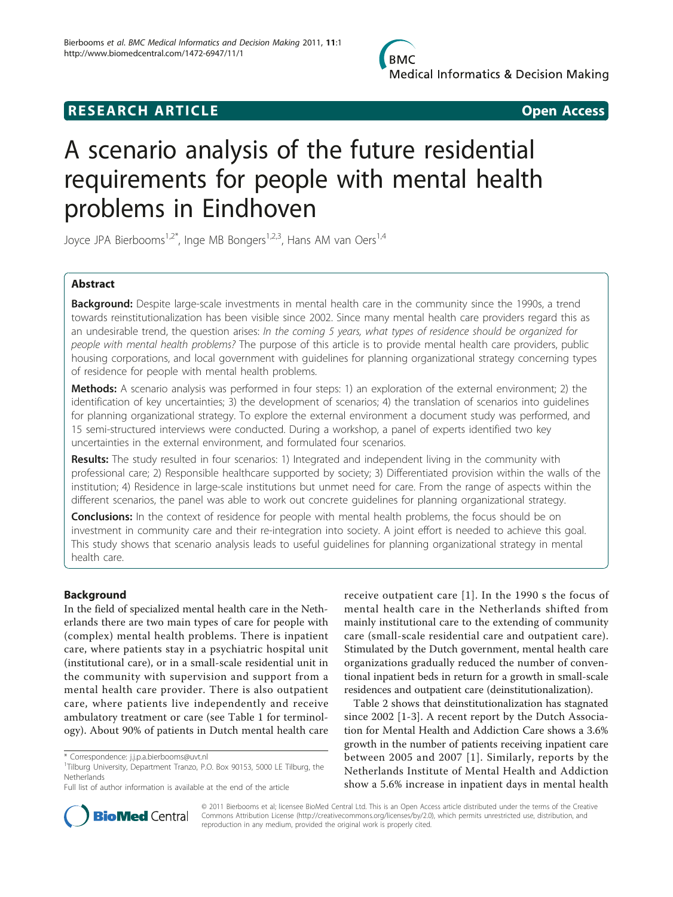

# **RESEARCH ARTICLE CONSUMING A RESEARCH ARTICLE**

# A scenario analysis of the future residential requirements for people with mental health problems in Eindhoven

Joyce JPA Bierbooms<sup>1,2\*</sup>, Inge MB Bongers<sup>1,2,3</sup>, Hans AM van Oers<sup>1,4</sup>

## Abstract

**Background:** Despite large-scale investments in mental health care in the community since the 1990s, a trend towards reinstitutionalization has been visible since 2002. Since many mental health care providers regard this as an undesirable trend, the question arises: In the coming 5 years, what types of residence should be organized for people with mental health problems? The purpose of this article is to provide mental health care providers, public housing corporations, and local government with guidelines for planning organizational strategy concerning types of residence for people with mental health problems.

Methods: A scenario analysis was performed in four steps: 1) an exploration of the external environment; 2) the identification of key uncertainties; 3) the development of scenarios; 4) the translation of scenarios into guidelines for planning organizational strategy. To explore the external environment a document study was performed, and 15 semi-structured interviews were conducted. During a workshop, a panel of experts identified two key uncertainties in the external environment, and formulated four scenarios.

Results: The study resulted in four scenarios: 1) Integrated and independent living in the community with professional care; 2) Responsible healthcare supported by society; 3) Differentiated provision within the walls of the institution; 4) Residence in large-scale institutions but unmet need for care. From the range of aspects within the different scenarios, the panel was able to work out concrete guidelines for planning organizational strategy.

**Conclusions:** In the context of residence for people with mental health problems, the focus should be on investment in community care and their re-integration into society. A joint effort is needed to achieve this goal. This study shows that scenario analysis leads to useful guidelines for planning organizational strategy in mental health care.

## Background

In the field of specialized mental health care in the Netherlands there are two main types of care for people with (complex) mental health problems. There is inpatient care, where patients stay in a psychiatric hospital unit (institutional care), or in a small-scale residential unit in the community with supervision and support from a mental health care provider. There is also outpatient care, where patients live independently and receive ambulatory treatment or care (see Table [1](#page-1-0) for terminology). About 90% of patients in Dutch mental health care

receive outpatient care [[1](#page-10-0)]. In the 1990 s the focus of mental health care in the Netherlands shifted from mainly institutional care to the extending of community care (small-scale residential care and outpatient care). Stimulated by the Dutch government, mental health care organizations gradually reduced the number of conventional inpatient beds in return for a growth in small-scale residences and outpatient care (deinstitutionalization).

Table [2](#page-1-0) shows that deinstitutionalization has stagnated since 2002 [\[1](#page-10-0)-[3\]](#page-10-0). A recent report by the Dutch Association for Mental Health and Addiction Care shows a 3.6% growth in the number of patients receiving inpatient care between 2005 and 2007 [[1\]](#page-10-0). Similarly, reports by the Netherlands Institute of Mental Health and Addiction show a 5.6% increase in inpatient days in mental health



© 2011 Bierbooms et al; licensee BioMed Central Ltd. This is an Open Access article distributed under the terms of the Creative Commons Attribution License [\(http://creativecommons.org/licenses/by/2.0](http://creativecommons.org/licenses/by/2.0)), which permits unrestricted use, distribution, and reproduction in any medium, provided the original work is properly cited.

<sup>\*</sup> Correspondence: [j.j.p.a.bierbooms@uvt.nl](mailto:j.j.p.a.bierbooms@uvt.nl)

<sup>1</sup> Tilburg University, Department Tranzo, P.O. Box 90153, 5000 LE Tilburg, the Netherlands

Full list of author information is available at the end of the article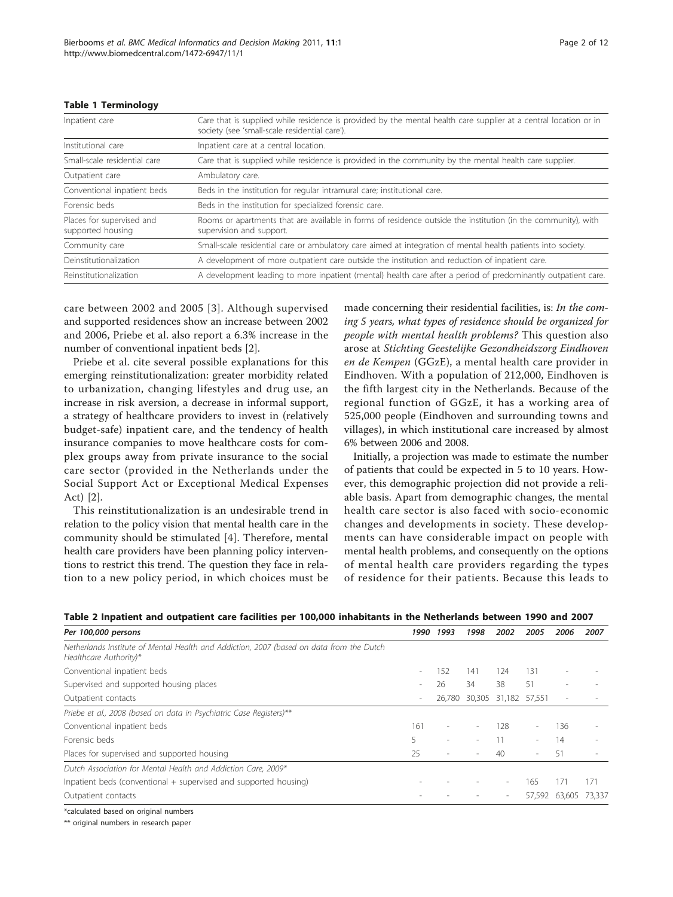| Inpatient care                                 | Care that is supplied while residence is provided by the mental health care supplier at a central location or in<br>society (see 'small-scale residential care'). |  |  |  |  |
|------------------------------------------------|-------------------------------------------------------------------------------------------------------------------------------------------------------------------|--|--|--|--|
| Institutional care                             | Inpatient care at a central location.                                                                                                                             |  |  |  |  |
| Small-scale residential care                   | Care that is supplied while residence is provided in the community by the mental health care supplier.                                                            |  |  |  |  |
| Outpatient care                                | Ambulatory care.                                                                                                                                                  |  |  |  |  |
| Conventional inpatient beds                    | Beds in the institution for regular intramural care; institutional care.                                                                                          |  |  |  |  |
| Forensic beds                                  | Beds in the institution for specialized forensic care.                                                                                                            |  |  |  |  |
| Places for supervised and<br>supported housing | Rooms or apartments that are available in forms of residence outside the institution (in the community), with<br>supervision and support.                         |  |  |  |  |
| Community care                                 | Small-scale residential care or ambulatory care aimed at integration of mental health patients into society.                                                      |  |  |  |  |
| Deinstitutionalization                         | A development of more outpatient care outside the institution and reduction of inpatient care.                                                                    |  |  |  |  |
| Reinstitutionalization                         | A development leading to more inpatient (mental) health care after a period of predominantly outpatient care.                                                     |  |  |  |  |

#### <span id="page-1-0"></span>Table 1 Terminology

care between 2002 and 2005 [[3](#page-10-0)]. Although supervised and supported residences show an increase between 2002 and 2006, Priebe et al. also report a 6.3% increase in the number of conventional inpatient beds [\[2\]](#page-10-0).

Priebe et al. cite several possible explanations for this emerging reinstitutionalization: greater morbidity related to urbanization, changing lifestyles and drug use, an increase in risk aversion, a decrease in informal support, a strategy of healthcare providers to invest in (relatively budget-safe) inpatient care, and the tendency of health insurance companies to move healthcare costs for complex groups away from private insurance to the social care sector (provided in the Netherlands under the Social Support Act or Exceptional Medical Expenses Act) [[2\]](#page-10-0).

This reinstitutionalization is an undesirable trend in relation to the policy vision that mental health care in the community should be stimulated [\[4\]](#page-10-0). Therefore, mental health care providers have been planning policy interventions to restrict this trend. The question they face in relation to a new policy period, in which choices must be made concerning their residential facilities, is: In the coming 5 years, what types of residence should be organized for people with mental health problems? This question also arose at Stichting Geestelijke Gezondheidszorg Eindhoven en de Kempen (GGzE), a mental health care provider in Eindhoven. With a population of 212,000, Eindhoven is the fifth largest city in the Netherlands. Because of the regional function of GGzE, it has a working area of 525,000 people (Eindhoven and surrounding towns and villages), in which institutional care increased by almost 6% between 2006 and 2008.

Initially, a projection was made to estimate the number of patients that could be expected in 5 to 10 years. However, this demographic projection did not provide a reliable basis. Apart from demographic changes, the mental health care sector is also faced with socio-economic changes and developments in society. These developments can have considerable impact on people with mental health problems, and consequently on the options of mental health care providers regarding the types of residence for their patients. Because this leads to

| Table 2 Inpatient and outpatient care facilities per 100,000 inhabitants in the Netherlands between 1990 and 2007 |  |  |  |  |  |  |  |  |
|-------------------------------------------------------------------------------------------------------------------|--|--|--|--|--|--|--|--|
|-------------------------------------------------------------------------------------------------------------------|--|--|--|--|--|--|--|--|

| Per 100,000 persons                                                                                                | 1990 | 1993                     | 1998                     | 2002                        | 2005   | 2006   | 2007   |
|--------------------------------------------------------------------------------------------------------------------|------|--------------------------|--------------------------|-----------------------------|--------|--------|--------|
| Netherlands Institute of Mental Health and Addiction, 2007 (based on data from the Dutch<br>Healthcare Authority)* |      |                          |                          |                             |        |        |        |
| Conventional inpatient beds                                                                                        |      | 152                      | 141                      | 124                         | 131    |        |        |
| Supervised and supported housing places                                                                            | -    | 26                       | 34                       | 38                          | 51     |        |        |
| Outpatient contacts                                                                                                |      |                          |                          | 26,780 30,305 31,182 57,551 |        |        |        |
| Priebe et al., 2008 (based on data in Psychiatric Case Registers)**                                                |      |                          |                          |                             |        |        |        |
| Conventional inpatient beds                                                                                        | 161  | $\overline{\phantom{a}}$ | $\overline{\phantom{a}}$ | 128                         | -      | 136    |        |
| Forensic beds                                                                                                      |      | $\overline{\phantom{a}}$ |                          |                             | $\sim$ | 14     |        |
| Places for supervised and supported housing                                                                        | 25   | $\sim$                   |                          | 40                          | -      | 51     |        |
| Dutch Association for Mental Health and Addiction Care, 2009*                                                      |      |                          |                          |                             |        |        |        |
| Inpatient beds (conventional + supervised and supported housing)                                                   |      |                          |                          |                             | 165    | 171    | 171    |
| Outpatient contacts                                                                                                |      |                          |                          |                             | 57,592 | 63.605 | 73.337 |

\*calculated based on original numbers

\*\* original numbers in research paper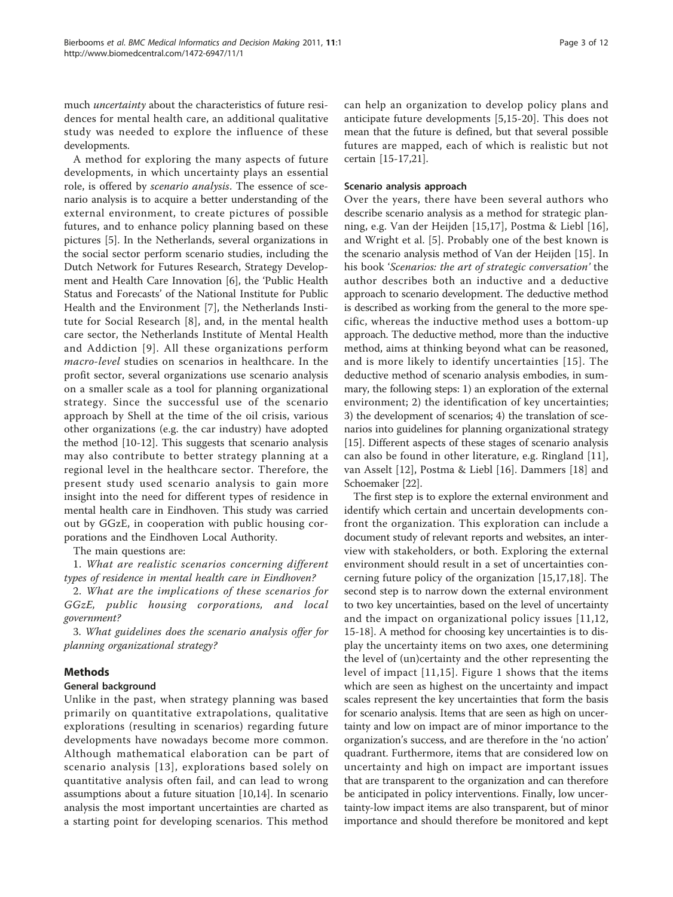much uncertainty about the characteristics of future residences for mental health care, an additional qualitative study was needed to explore the influence of these developments.

A method for exploring the many aspects of future developments, in which uncertainty plays an essential role, is offered by scenario analysis. The essence of scenario analysis is to acquire a better understanding of the external environment, to create pictures of possible futures, and to enhance policy planning based on these pictures [[5\]](#page-10-0). In the Netherlands, several organizations in the social sector perform scenario studies, including the Dutch Network for Futures Research, Strategy Development and Health Care Innovation [\[6\]](#page-10-0), the 'Public Health Status and Forecasts' of the National Institute for Public Health and the Environment [[7\]](#page-10-0), the Netherlands Institute for Social Research [[8\]](#page-10-0), and, in the mental health care sector, the Netherlands Institute of Mental Health and Addiction [[9\]](#page-10-0). All these organizations perform macro-level studies on scenarios in healthcare. In the profit sector, several organizations use scenario analysis on a smaller scale as a tool for planning organizational strategy. Since the successful use of the scenario approach by Shell at the time of the oil crisis, various other organizations (e.g. the car industry) have adopted the method [\[10-12](#page-10-0)]. This suggests that scenario analysis may also contribute to better strategy planning at a regional level in the healthcare sector. Therefore, the present study used scenario analysis to gain more insight into the need for different types of residence in mental health care in Eindhoven. This study was carried out by GGzE, in cooperation with public housing corporations and the Eindhoven Local Authority.

The main questions are:

1. What are realistic scenarios concerning different types of residence in mental health care in Eindhoven?

2. What are the implications of these scenarios for GGzE, public housing corporations, and local government?

3. What guidelines does the scenario analysis offer for planning organizational strategy?

## Methods

#### General background

Unlike in the past, when strategy planning was based primarily on quantitative extrapolations, qualitative explorations (resulting in scenarios) regarding future developments have nowadays become more common. Although mathematical elaboration can be part of scenario analysis [[13](#page-10-0)], explorations based solely on quantitative analysis often fail, and can lead to wrong assumptions about a future situation [[10,14](#page-10-0)]. In scenario analysis the most important uncertainties are charted as a starting point for developing scenarios. This method can help an organization to develop policy plans and anticipate future developments [[5,15](#page-10-0)-[20\]](#page-11-0). This does not mean that the future is defined, but that several possible futures are mapped, each of which is realistic but not certain [[15-17](#page-10-0)[,21\]](#page-11-0).

#### Scenario analysis approach

Over the years, there have been several authors who describe scenario analysis as a method for strategic planning, e.g. Van der Heijden [[15,17](#page-10-0)], Postma & Liebl [[16](#page-10-0)], and Wright et al. [\[5](#page-10-0)]. Probably one of the best known is the scenario analysis method of Van der Heijden [[15\]](#page-10-0). In his book 'Scenarios: the art of strategic conversation' the author describes both an inductive and a deductive approach to scenario development. The deductive method is described as working from the general to the more specific, whereas the inductive method uses a bottom-up approach. The deductive method, more than the inductive method, aims at thinking beyond what can be reasoned, and is more likely to identify uncertainties [[15](#page-10-0)]. The deductive method of scenario analysis embodies, in summary, the following steps: 1) an exploration of the external environment; 2) the identification of key uncertainties; 3) the development of scenarios; 4) the translation of scenarios into guidelines for planning organizational strategy [[15\]](#page-10-0). Different aspects of these stages of scenario analysis can also be found in other literature, e.g. Ringland [[11](#page-10-0)], van Asselt [[12\]](#page-10-0), Postma & Liebl [\[16](#page-10-0)]. Dammers [\[18](#page-10-0)] and Schoemaker [\[22\]](#page-11-0).

The first step is to explore the external environment and identify which certain and uncertain developments confront the organization. This exploration can include a document study of relevant reports and websites, an interview with stakeholders, or both. Exploring the external environment should result in a set of uncertainties concerning future policy of the organization [[15](#page-10-0),[17,18\]](#page-10-0). The second step is to narrow down the external environment to two key uncertainties, based on the level of uncertainty and the impact on organizational policy issues [[11,12](#page-10-0), [15-18\]](#page-10-0). A method for choosing key uncertainties is to display the uncertainty items on two axes, one determining the level of (un)certainty and the other representing the level of impact [[11,15\]](#page-10-0). Figure [1](#page-3-0) shows that the items which are seen as highest on the uncertainty and impact scales represent the key uncertainties that form the basis for scenario analysis. Items that are seen as high on uncertainty and low on impact are of minor importance to the organization's success, and are therefore in the 'no action' quadrant. Furthermore, items that are considered low on uncertainty and high on impact are important issues that are transparent to the organization and can therefore be anticipated in policy interventions. Finally, low uncertainty-low impact items are also transparent, but of minor importance and should therefore be monitored and kept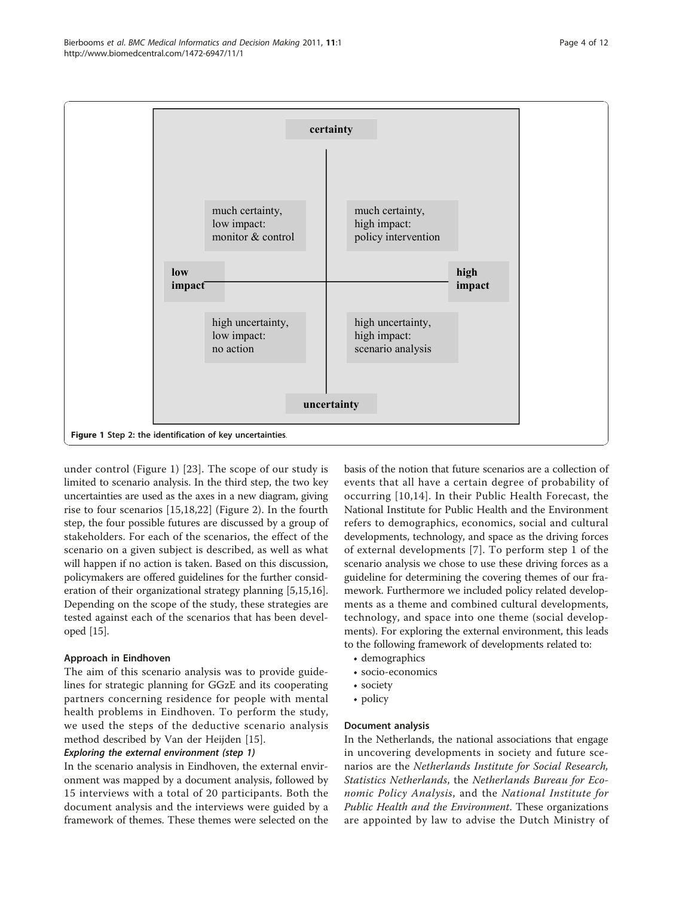<span id="page-3-0"></span>

under control (Figure 1) [[23](#page-11-0)]. The scope of our study is limited to scenario analysis. In the third step, the two key uncertainties are used as the axes in a new diagram, giving rise to four scenarios [\[15](#page-10-0),[18,](#page-10-0)[22\]](#page-11-0) (Figure [2](#page-4-0)). In the fourth step, the four possible futures are discussed by a group of stakeholders. For each of the scenarios, the effect of the scenario on a given subject is described, as well as what will happen if no action is taken. Based on this discussion, policymakers are offered guidelines for the further consideration of their organizational strategy planning [[5,15](#page-10-0),[16](#page-10-0)]. Depending on the scope of the study, these strategies are tested against each of the scenarios that has been developed [[15\]](#page-10-0).

## Approach in Eindhoven

The aim of this scenario analysis was to provide guidelines for strategic planning for GGzE and its cooperating partners concerning residence for people with mental health problems in Eindhoven. To perform the study, we used the steps of the deductive scenario analysis method described by Van der Heijden [\[15\]](#page-10-0).

## Exploring the external environment (step 1)

In the scenario analysis in Eindhoven, the external environment was mapped by a document analysis, followed by 15 interviews with a total of 20 participants. Both the document analysis and the interviews were guided by a framework of themes. These themes were selected on the basis of the notion that future scenarios are a collection of events that all have a certain degree of probability of occurring [[10](#page-10-0),[14](#page-10-0)]. In their Public Health Forecast, the National Institute for Public Health and the Environment refers to demographics, economics, social and cultural developments, technology, and space as the driving forces of external developments [[7\]](#page-10-0). To perform step 1 of the scenario analysis we chose to use these driving forces as a guideline for determining the covering themes of our framework. Furthermore we included policy related developments as a theme and combined cultural developments, technology, and space into one theme (social developments). For exploring the external environment, this leads to the following framework of developments related to:

- demographics
- socio-economics
- society
- policy

## Document analysis

In the Netherlands, the national associations that engage in uncovering developments in society and future scenarios are the Netherlands Institute for Social Research, Statistics Netherlands, the Netherlands Bureau for Economic Policy Analysis, and the National Institute for Public Health and the Environment. These organizations are appointed by law to advise the Dutch Ministry of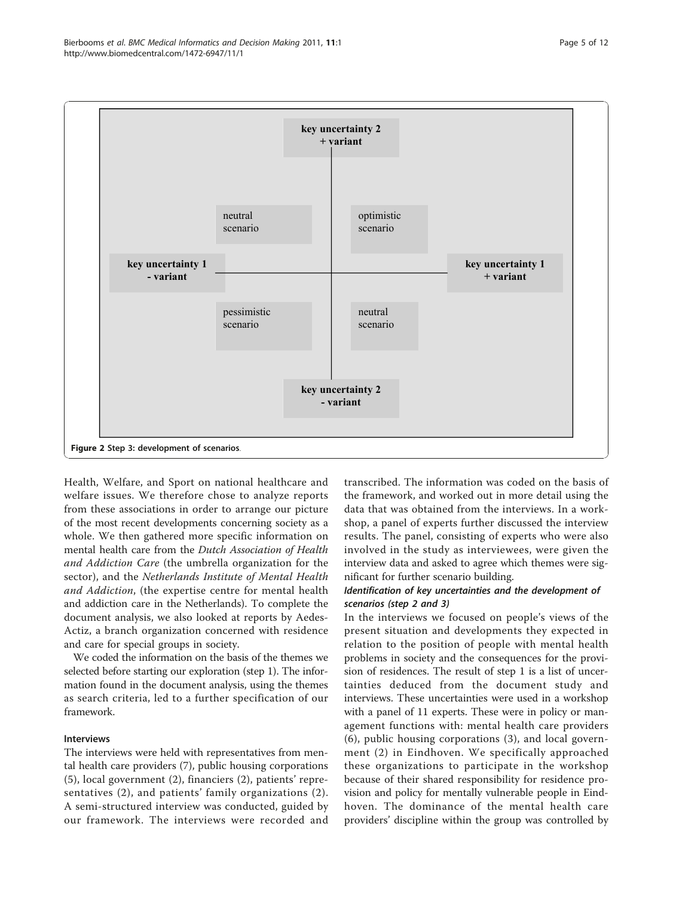<span id="page-4-0"></span>

Health, Welfare, and Sport on national healthcare and welfare issues. We therefore chose to analyze reports from these associations in order to arrange our picture of the most recent developments concerning society as a whole. We then gathered more specific information on mental health care from the Dutch Association of Health and Addiction Care (the umbrella organization for the sector), and the Netherlands Institute of Mental Health and Addiction, (the expertise centre for mental health and addiction care in the Netherlands). To complete the document analysis, we also looked at reports by Aedes-Actiz, a branch organization concerned with residence and care for special groups in society.

We coded the information on the basis of the themes we selected before starting our exploration (step 1). The information found in the document analysis, using the themes as search criteria, led to a further specification of our framework.

#### Interviews

The interviews were held with representatives from mental health care providers (7), public housing corporations (5), local government (2), financiers (2), patients' representatives (2), and patients' family organizations (2). A semi-structured interview was conducted, guided by our framework. The interviews were recorded and

transcribed. The information was coded on the basis of the framework, and worked out in more detail using the data that was obtained from the interviews. In a workshop, a panel of experts further discussed the interview results. The panel, consisting of experts who were also involved in the study as interviewees, were given the interview data and asked to agree which themes were significant for further scenario building.

#### Identification of key uncertainties and the development of scenarios (step 2 and 3)

In the interviews we focused on people's views of the present situation and developments they expected in relation to the position of people with mental health problems in society and the consequences for the provision of residences. The result of step 1 is a list of uncertainties deduced from the document study and interviews. These uncertainties were used in a workshop with a panel of 11 experts. These were in policy or management functions with: mental health care providers (6), public housing corporations (3), and local government (2) in Eindhoven. We specifically approached these organizations to participate in the workshop because of their shared responsibility for residence provision and policy for mentally vulnerable people in Eindhoven. The dominance of the mental health care providers' discipline within the group was controlled by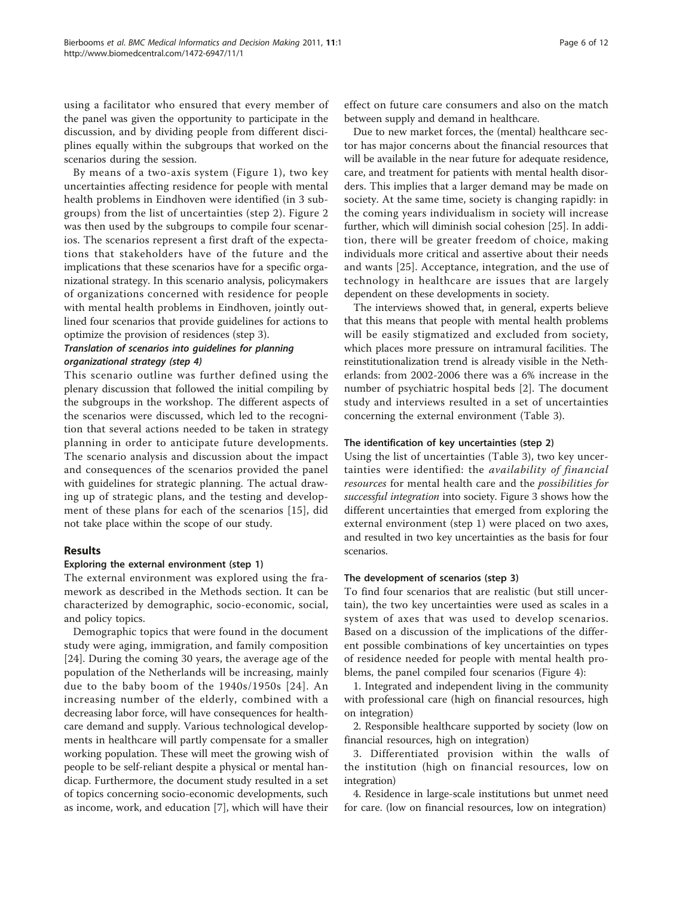using a facilitator who ensured that every member of the panel was given the opportunity to participate in the discussion, and by dividing people from different disciplines equally within the subgroups that worked on the scenarios during the session.

By means of a two-axis system (Figure [1\)](#page-3-0), two key uncertainties affecting residence for people with mental health problems in Eindhoven were identified (in 3 subgroups) from the list of uncertainties (step 2). Figure [2](#page-4-0) was then used by the subgroups to compile four scenarios. The scenarios represent a first draft of the expectations that stakeholders have of the future and the implications that these scenarios have for a specific organizational strategy. In this scenario analysis, policymakers of organizations concerned with residence for people with mental health problems in Eindhoven, jointly outlined four scenarios that provide guidelines for actions to optimize the provision of residences (step 3).

## Translation of scenarios into guidelines for planning organizational strategy (step 4)

This scenario outline was further defined using the plenary discussion that followed the initial compiling by the subgroups in the workshop. The different aspects of the scenarios were discussed, which led to the recognition that several actions needed to be taken in strategy planning in order to anticipate future developments. The scenario analysis and discussion about the impact and consequences of the scenarios provided the panel with guidelines for strategic planning. The actual drawing up of strategic plans, and the testing and development of these plans for each of the scenarios [[15](#page-10-0)], did not take place within the scope of our study.

## Results

#### Exploring the external environment (step 1)

The external environment was explored using the framework as described in the Methods section. It can be characterized by demographic, socio-economic, social, and policy topics.

Demographic topics that were found in the document study were aging, immigration, and family composition [[24\]](#page-11-0). During the coming 30 years, the average age of the population of the Netherlands will be increasing, mainly due to the baby boom of the 1940s/1950s [[24\]](#page-11-0). An increasing number of the elderly, combined with a decreasing labor force, will have consequences for healthcare demand and supply. Various technological developments in healthcare will partly compensate for a smaller working population. These will meet the growing wish of people to be self-reliant despite a physical or mental handicap. Furthermore, the document study resulted in a set of topics concerning socio-economic developments, such as income, work, and education [\[7](#page-10-0)], which will have their

effect on future care consumers and also on the match between supply and demand in healthcare.

Due to new market forces, the (mental) healthcare sector has major concerns about the financial resources that will be available in the near future for adequate residence, care, and treatment for patients with mental health disorders. This implies that a larger demand may be made on society. At the same time, society is changing rapidly: in the coming years individualism in society will increase further, which will diminish social cohesion [\[25](#page-11-0)]. In addition, there will be greater freedom of choice, making individuals more critical and assertive about their needs and wants [[25](#page-11-0)]. Acceptance, integration, and the use of technology in healthcare are issues that are largely dependent on these developments in society.

The interviews showed that, in general, experts believe that this means that people with mental health problems will be easily stigmatized and excluded from society, which places more pressure on intramural facilities. The reinstitutionalization trend is already visible in the Netherlands: from 2002-2006 there was a 6% increase in the number of psychiatric hospital beds [[2\]](#page-10-0). The document study and interviews resulted in a set of uncertainties concerning the external environment (Table [3\)](#page-6-0).

#### The identification of key uncertainties (step 2)

Using the list of uncertainties (Table [3](#page-6-0)), two key uncertainties were identified: the availability of financial resources for mental health care and the possibilities for successful integration into society. Figure [3](#page-6-0) shows how the different uncertainties that emerged from exploring the external environment (step 1) were placed on two axes, and resulted in two key uncertainties as the basis for four scenarios.

#### The development of scenarios (step 3)

To find four scenarios that are realistic (but still uncertain), the two key uncertainties were used as scales in a system of axes that was used to develop scenarios. Based on a discussion of the implications of the different possible combinations of key uncertainties on types of residence needed for people with mental health problems, the panel compiled four scenarios (Figure [4](#page-7-0)):

1. Integrated and independent living in the community with professional care (high on financial resources, high on integration)

2. Responsible healthcare supported by society (low on financial resources, high on integration)

3. Differentiated provision within the walls of the institution (high on financial resources, low on integration)

4. Residence in large-scale institutions but unmet need for care. (low on financial resources, low on integration)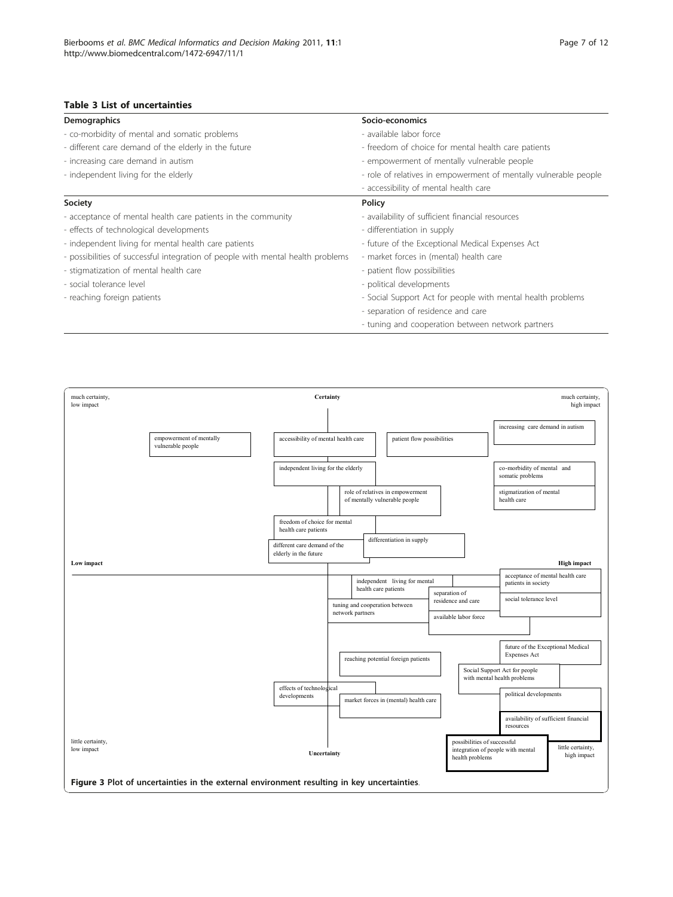### <span id="page-6-0"></span>Table 3 List of uncertainties

| Demographics                                                                    | Socio-economics                                                  |  |  |  |  |  |
|---------------------------------------------------------------------------------|------------------------------------------------------------------|--|--|--|--|--|
| - co-morbidity of mental and somatic problems                                   | - available labor force                                          |  |  |  |  |  |
| - different care demand of the elderly in the future                            | - freedom of choice for mental health care patients              |  |  |  |  |  |
| - increasing care demand in autism                                              | - empowerment of mentally vulnerable people                      |  |  |  |  |  |
| - independent living for the elderly                                            | - role of relatives in empowerment of mentally vulnerable people |  |  |  |  |  |
|                                                                                 | - accessibility of mental health care                            |  |  |  |  |  |
| Society                                                                         | <b>Policy</b>                                                    |  |  |  |  |  |
| - acceptance of mental health care patients in the community                    | - availability of sufficient financial resources                 |  |  |  |  |  |
| - effects of technological developments                                         | - differentiation in supply                                      |  |  |  |  |  |
| - independent living for mental health care patients                            | - future of the Exceptional Medical Expenses Act                 |  |  |  |  |  |
| - possibilities of successful integration of people with mental health problems | - market forces in (mental) health care                          |  |  |  |  |  |
| - stigmatization of mental health care                                          | - patient flow possibilities                                     |  |  |  |  |  |
| - social tolerance level                                                        | - political developments                                         |  |  |  |  |  |
| - reaching foreign patients                                                     | - Social Support Act for people with mental health problems      |  |  |  |  |  |
|                                                                                 | - separation of residence and care                               |  |  |  |  |  |
|                                                                                 | - tuning and cooperation between network partners                |  |  |  |  |  |

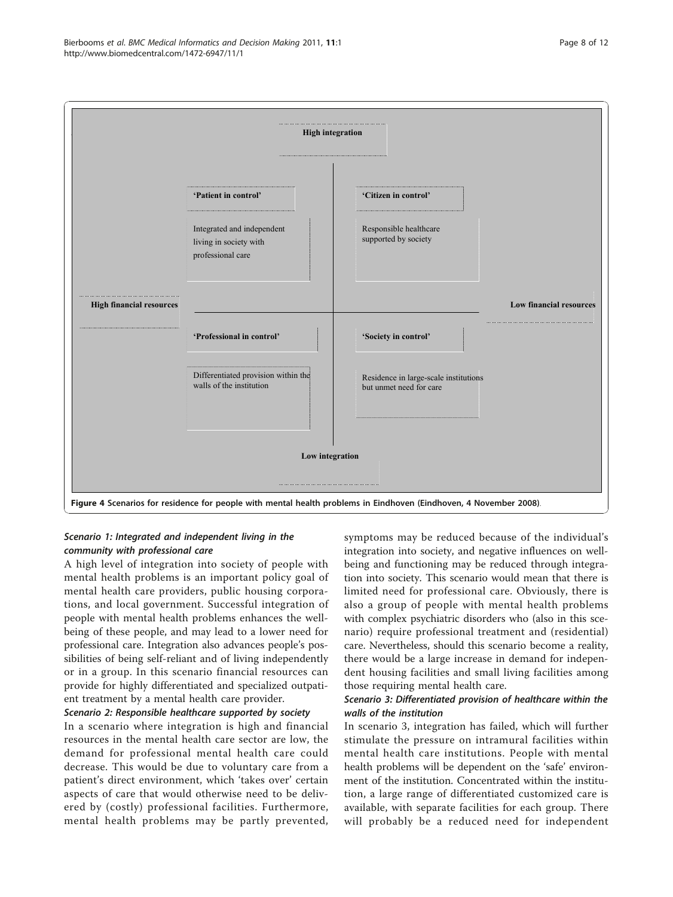<span id="page-7-0"></span>

## Scenario 1: Integrated and independent living in the community with professional care

A high level of integration into society of people with mental health problems is an important policy goal of mental health care providers, public housing corporations, and local government. Successful integration of people with mental health problems enhances the wellbeing of these people, and may lead to a lower need for professional care. Integration also advances people's possibilities of being self-reliant and of living independently or in a group. In this scenario financial resources can provide for highly differentiated and specialized outpatient treatment by a mental health care provider.

#### Scenario 2: Responsible healthcare supported by society

In a scenario where integration is high and financial resources in the mental health care sector are low, the demand for professional mental health care could decrease. This would be due to voluntary care from a patient's direct environment, which 'takes over' certain aspects of care that would otherwise need to be delivered by (costly) professional facilities. Furthermore, mental health problems may be partly prevented,

symptoms may be reduced because of the individual's integration into society, and negative influences on wellbeing and functioning may be reduced through integration into society. This scenario would mean that there is limited need for professional care. Obviously, there is also a group of people with mental health problems with complex psychiatric disorders who (also in this scenario) require professional treatment and (residential) care. Nevertheless, should this scenario become a reality, there would be a large increase in demand for independent housing facilities and small living facilities among those requiring mental health care.

## Scenario 3: Differentiated provision of healthcare within the walls of the institution

In scenario 3, integration has failed, which will further stimulate the pressure on intramural facilities within mental health care institutions. People with mental health problems will be dependent on the 'safe' environment of the institution. Concentrated within the institution, a large range of differentiated customized care is available, with separate facilities for each group. There will probably be a reduced need for independent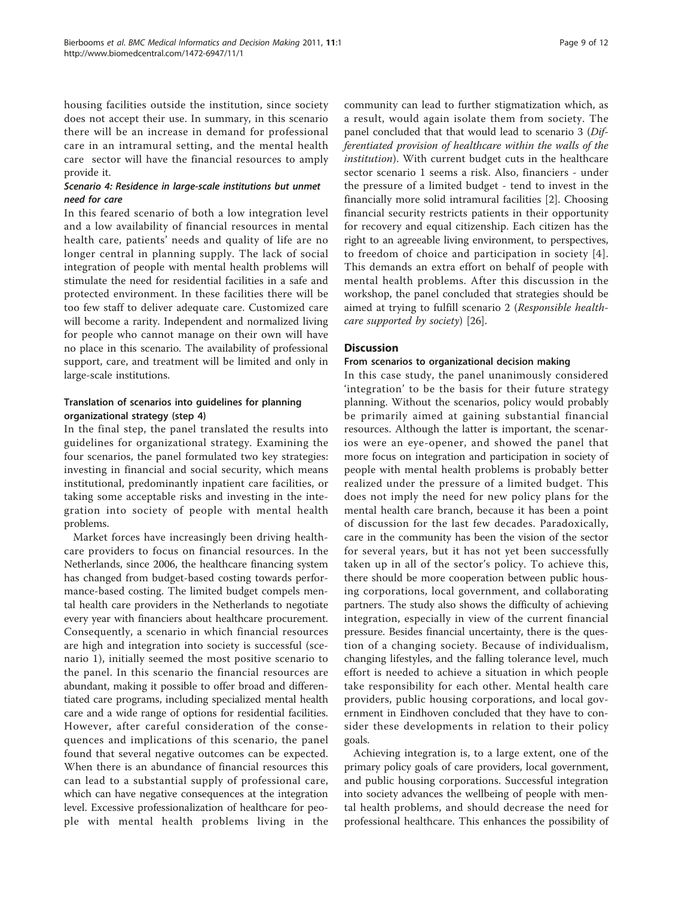does not accept their use. In summary, in this scenario there will be an increase in demand for professional care in an intramural setting, and the mental health care sector will have the financial resources to amply provide it.

## Scenario 4: Residence in large-scale institutions but unmet need for care

In this feared scenario of both a low integration level and a low availability of financial resources in mental health care, patients' needs and quality of life are no longer central in planning supply. The lack of social integration of people with mental health problems will stimulate the need for residential facilities in a safe and protected environment. In these facilities there will be too few staff to deliver adequate care. Customized care will become a rarity. Independent and normalized living for people who cannot manage on their own will have no place in this scenario. The availability of professional support, care, and treatment will be limited and only in large-scale institutions.

## Translation of scenarios into guidelines for planning organizational strategy (step 4)

In the final step, the panel translated the results into guidelines for organizational strategy. Examining the four scenarios, the panel formulated two key strategies: investing in financial and social security, which means institutional, predominantly inpatient care facilities, or taking some acceptable risks and investing in the integration into society of people with mental health problems.

Market forces have increasingly been driving healthcare providers to focus on financial resources. In the Netherlands, since 2006, the healthcare financing system has changed from budget-based costing towards performance-based costing. The limited budget compels mental health care providers in the Netherlands to negotiate every year with financiers about healthcare procurement. Consequently, a scenario in which financial resources are high and integration into society is successful (scenario 1), initially seemed the most positive scenario to the panel. In this scenario the financial resources are abundant, making it possible to offer broad and differentiated care programs, including specialized mental health care and a wide range of options for residential facilities. However, after careful consideration of the consequences and implications of this scenario, the panel found that several negative outcomes can be expected. When there is an abundance of financial resources this can lead to a substantial supply of professional care, which can have negative consequences at the integration level. Excessive professionalization of healthcare for people with mental health problems living in the community can lead to further stigmatization which, as a result, would again isolate them from society. The panel concluded that that would lead to scenario 3 (Differentiated provision of healthcare within the walls of the institution). With current budget cuts in the healthcare sector scenario 1 seems a risk. Also, financiers - under the pressure of a limited budget - tend to invest in the financially more solid intramural facilities [[2\]](#page-10-0). Choosing financial security restricts patients in their opportunity for recovery and equal citizenship. Each citizen has the right to an agreeable living environment, to perspectives, to freedom of choice and participation in society [[4](#page-10-0)]. This demands an extra effort on behalf of people with mental health problems. After this discussion in the workshop, the panel concluded that strategies should be aimed at trying to fulfill scenario 2 (Responsible healthcare supported by society) [\[26\]](#page-11-0).

## **Discussion**

## From scenarios to organizational decision making

In this case study, the panel unanimously considered 'integration' to be the basis for their future strategy planning. Without the scenarios, policy would probably be primarily aimed at gaining substantial financial resources. Although the latter is important, the scenarios were an eye-opener, and showed the panel that more focus on integration and participation in society of people with mental health problems is probably better realized under the pressure of a limited budget. This does not imply the need for new policy plans for the mental health care branch, because it has been a point of discussion for the last few decades. Paradoxically, care in the community has been the vision of the sector for several years, but it has not yet been successfully taken up in all of the sector's policy. To achieve this, there should be more cooperation between public housing corporations, local government, and collaborating partners. The study also shows the difficulty of achieving integration, especially in view of the current financial pressure. Besides financial uncertainty, there is the question of a changing society. Because of individualism, changing lifestyles, and the falling tolerance level, much effort is needed to achieve a situation in which people take responsibility for each other. Mental health care providers, public housing corporations, and local government in Eindhoven concluded that they have to consider these developments in relation to their policy goals.

Achieving integration is, to a large extent, one of the primary policy goals of care providers, local government, and public housing corporations. Successful integration into society advances the wellbeing of people with mental health problems, and should decrease the need for professional healthcare. This enhances the possibility of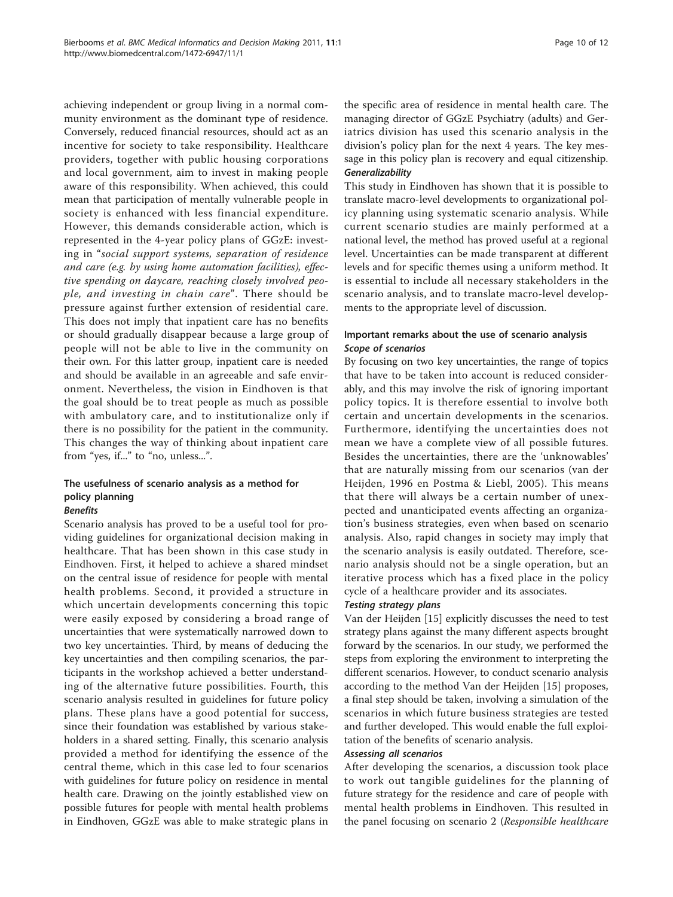achieving independent or group living in a normal community environment as the dominant type of residence. Conversely, reduced financial resources, should act as an incentive for society to take responsibility. Healthcare providers, together with public housing corporations and local government, aim to invest in making people aware of this responsibility. When achieved, this could mean that participation of mentally vulnerable people in society is enhanced with less financial expenditure. However, this demands considerable action, which is represented in the 4-year policy plans of GGzE: investing in "social support systems, separation of residence and care (e.g. by using home automation facilities), effective spending on daycare, reaching closely involved people, and investing in chain care". There should be pressure against further extension of residential care. This does not imply that inpatient care has no benefits or should gradually disappear because a large group of people will not be able to live in the community on their own. For this latter group, inpatient care is needed and should be available in an agreeable and safe environment. Nevertheless, the vision in Eindhoven is that the goal should be to treat people as much as possible with ambulatory care, and to institutionalize only if there is no possibility for the patient in the community. This changes the way of thinking about inpatient care from "yes, if..." to "no, unless...".

## The usefulness of scenario analysis as a method for policy planning

#### Benefits

Scenario analysis has proved to be a useful tool for providing guidelines for organizational decision making in healthcare. That has been shown in this case study in Eindhoven. First, it helped to achieve a shared mindset on the central issue of residence for people with mental health problems. Second, it provided a structure in which uncertain developments concerning this topic were easily exposed by considering a broad range of uncertainties that were systematically narrowed down to two key uncertainties. Third, by means of deducing the key uncertainties and then compiling scenarios, the participants in the workshop achieved a better understanding of the alternative future possibilities. Fourth, this scenario analysis resulted in guidelines for future policy plans. These plans have a good potential for success, since their foundation was established by various stakeholders in a shared setting. Finally, this scenario analysis provided a method for identifying the essence of the central theme, which in this case led to four scenarios with guidelines for future policy on residence in mental health care. Drawing on the jointly established view on possible futures for people with mental health problems in Eindhoven, GGzE was able to make strategic plans in

the specific area of residence in mental health care. The managing director of GGzE Psychiatry (adults) and Geriatrics division has used this scenario analysis in the division's policy plan for the next 4 years. The key message in this policy plan is recovery and equal citizenship. **Generalizability** 

This study in Eindhoven has shown that it is possible to translate macro-level developments to organizational policy planning using systematic scenario analysis. While current scenario studies are mainly performed at a national level, the method has proved useful at a regional level. Uncertainties can be made transparent at different levels and for specific themes using a uniform method. It is essential to include all necessary stakeholders in the scenario analysis, and to translate macro-level developments to the appropriate level of discussion.

## Important remarks about the use of scenario analysis Scope of scenarios

By focusing on two key uncertainties, the range of topics that have to be taken into account is reduced considerably, and this may involve the risk of ignoring important policy topics. It is therefore essential to involve both certain and uncertain developments in the scenarios. Furthermore, identifying the uncertainties does not mean we have a complete view of all possible futures. Besides the uncertainties, there are the 'unknowables' that are naturally missing from our scenarios (van der Heijden, 1996 en Postma & Liebl, 2005). This means that there will always be a certain number of unexpected and unanticipated events affecting an organization's business strategies, even when based on scenario analysis. Also, rapid changes in society may imply that the scenario analysis is easily outdated. Therefore, scenario analysis should not be a single operation, but an iterative process which has a fixed place in the policy cycle of a healthcare provider and its associates.

## Testing strategy plans

Van der Heijden [[15\]](#page-10-0) explicitly discusses the need to test strategy plans against the many different aspects brought forward by the scenarios. In our study, we performed the steps from exploring the environment to interpreting the different scenarios. However, to conduct scenario analysis according to the method Van der Heijden [[15\]](#page-10-0) proposes, a final step should be taken, involving a simulation of the scenarios in which future business strategies are tested and further developed. This would enable the full exploitation of the benefits of scenario analysis.

#### Assessing all scenarios

After developing the scenarios, a discussion took place to work out tangible guidelines for the planning of future strategy for the residence and care of people with mental health problems in Eindhoven. This resulted in the panel focusing on scenario 2 (Responsible healthcare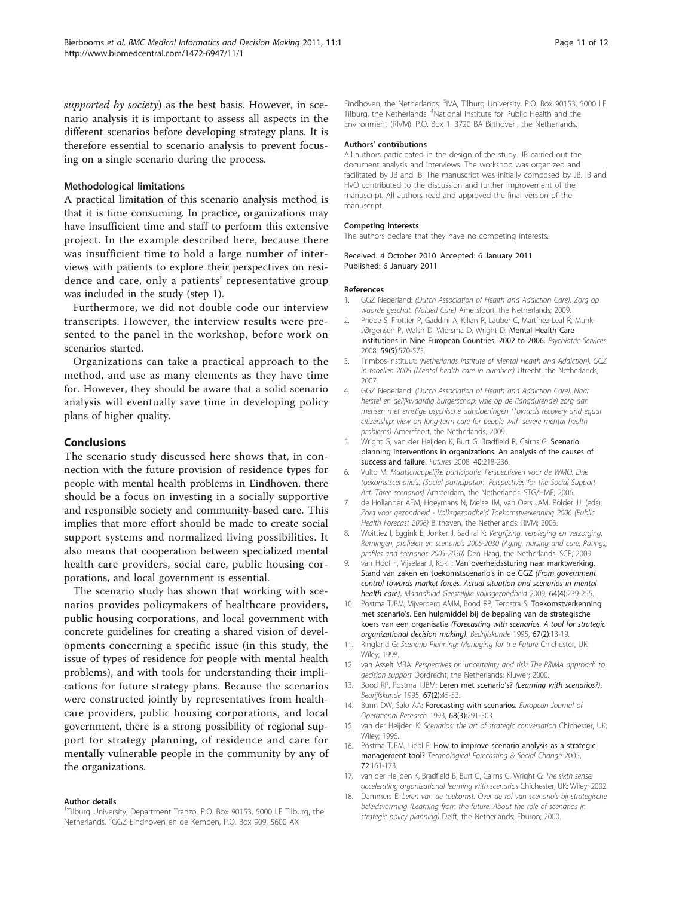<span id="page-10-0"></span>supported by society) as the best basis. However, in scenario analysis it is important to assess all aspects in the different scenarios before developing strategy plans. It is therefore essential to scenario analysis to prevent focusing on a single scenario during the process.

#### Methodological limitations

A practical limitation of this scenario analysis method is that it is time consuming. In practice, organizations may have insufficient time and staff to perform this extensive project. In the example described here, because there was insufficient time to hold a large number of interviews with patients to explore their perspectives on residence and care, only a patients' representative group was included in the study (step 1).

Furthermore, we did not double code our interview transcripts. However, the interview results were presented to the panel in the workshop, before work on scenarios started.

Organizations can take a practical approach to the method, and use as many elements as they have time for. However, they should be aware that a solid scenario analysis will eventually save time in developing policy plans of higher quality.

#### Conclusions

The scenario study discussed here shows that, in connection with the future provision of residence types for people with mental health problems in Eindhoven, there should be a focus on investing in a socially supportive and responsible society and community-based care. This implies that more effort should be made to create social support systems and normalized living possibilities. It also means that cooperation between specialized mental health care providers, social care, public housing corporations, and local government is essential.

The scenario study has shown that working with scenarios provides policymakers of healthcare providers, public housing corporations, and local government with concrete guidelines for creating a shared vision of developments concerning a specific issue (in this study, the issue of types of residence for people with mental health problems), and with tools for understanding their implications for future strategy plans. Because the scenarios were constructed jointly by representatives from healthcare providers, public housing corporations, and local government, there is a strong possibility of regional support for strategy planning, of residence and care for mentally vulnerable people in the community by any of the organizations.

#### Author details

Eindhoven, the Netherlands. <sup>3</sup>IVA, Tilburg University, P.O. Box 90153, 5000 LE Tilburg, the Netherlands. <sup>4</sup>National Institute for Public Health and the Environment (RIVM), P.O. Box 1, 3720 BA Bilthoven, the Netherlands.

#### Authors' contributions

All authors participated in the design of the study. JB carried out the document analysis and interviews. The workshop was organized and facilitated by JB and IB. The manuscript was initially composed by JB. IB and HvO contributed to the discussion and further improvement of the manuscript. All authors read and approved the final version of the manuscript.

#### Competing interests

The authors declare that they have no competing interests.

Received: 4 October 2010 Accepted: 6 January 2011 Published: 6 January 2011

#### References

- 1. GGZ Nederland: (Dutch Association of Health and Addiction Care). Zorg op waarde geschat. (Valued Care) Amersfoort, the Netherlands; 2009.
- 2. Priebe S, Frottier P, Gaddini A, Kilian R, Lauber C, Martínez-Leal R, Munk-JØrgensen P, Walsh D, Wiersma D, Wright D: [Mental Health Care](http://www.ncbi.nlm.nih.gov/pubmed/18451020?dopt=Abstract) [Institutions in Nine European Countries, 2002 to 2006.](http://www.ncbi.nlm.nih.gov/pubmed/18451020?dopt=Abstract) Psychiatric Services 2008, 59(5):570-573.
- 3. Trimbos-instituut: (Netherlands Institute of Mental Health and Addiction). GGZ in tabellen 2006 (Mental health care in numbers) Utrecht, the Netherlands; 2007.
- 4. GGZ Nederland: (Dutch Association of Health and Addiction Care). Naar herstel en gelijkwaardig burgerschap: visie op de (langdurende) zorg aan mensen met ernstige psychische aandoeningen (Towards recovery and equal citizenship: view on long-term care for people with severe mental health problems) Amersfoort, the Netherlands; 2009.
- 5. Wright G, van der Heijden K, Burt G, Bradfield R, Cairns G: Scenario planning interventions in organizations: An analysis of the causes of success and failure. Futures 2008, 40:218-236.
- Vulto M: Maatschappelijke participatie. Perspectieven voor de WMO. Drie toekomstscenario's. (Social participation. Perspectives for the Social Support Act. Three scenarios) Amsterdam, the Netherlands: STG/HMF; 2006.
- 7. de Hollander AEM, Hoeymans N, Melse JM, van Oers JAM, Polder JJ, (eds): Zorg voor gezondheid - Volksgezondheid Toekomstverkenning 2006 (Public Health Forecast 2006) Bilthoven, the Netherlands: RIVM; 2006.
- 8. Woittiez I, Eggink E, Jonker J, Sadirai K: Vergrijzing, verpleging en verzorging. Ramingen, profielen en scenario's 2005-2030 (Aging, nursing and care. Ratings, profiles and scenarios 2005-2030) Den Haag, the Netherlands: SCP; 2009.
- 9. van Hoof F, Vijselaar J, Kok I: Van overheidssturing naar marktwerking. Stand van zaken en toekomstscenario's in de GGZ (From government control towards market forces. Actual situation and scenarios in mental health care). Maandblad Geestelijke volksgezondheid 2009, 64(4):239-255.
- 10. Postma TJBM, Vijverberg AMM, Bood RP, Terpstra S: Toekomstverkenning met scenario's. Een hulpmiddel bij de bepaling van de strategische koers van een organisatie (Forecasting with scenarios. A tool for strategic organizational decision making). Bedrijfskunde 1995, 67(2):13-19.
- 11. Ringland G: Scenario Planning: Managing for the Future Chichester, UK: Wiley; 1998.
- 12. van Asselt MBA: Perspectives on uncertainty and risk: The PRIMA approach to decision support Dordrecht, the Netherlands: Kluwer; 2000.
- 13. Bood RP, Postma TJBM: Leren met scenario's? (Learning with scenarios?). Bedrijfskunde 1995, 67(2):45-53.
- 14. Bunn DW, Salo AA: Forecasting with scenarios. European Journal of Operational Research 1993, 68(3):291-303.
- 15. van der Heijden K: Scenarios: the art of strategic conversation Chichester, UK: Wiley; 1996.
- 16. Postma TJBM, Liebl F: How to improve scenario analysis as a strategic management tool? Technological Forecasting & Social Change 2005, 72:161-173.
- 17. van der Heijden K, Bradfield B, Burt G, Cairns G, Wright G: The sixth sense: accelerating organizational learning with scenarios Chichester, UK: Wiley; 2002.
- 18. Dammers E: Leren van de toekomst. Over de rol van scenario's bij strategische beleidsvorming (Learning from the future. About the role of scenarios in strategic policy planning) Delft, the Netherlands: Eburon; 2000.

<sup>&</sup>lt;sup>1</sup>Tilburg University, Department Tranzo, P.O. Box 90153, 5000 LE Tilburg, the Netherlands. <sup>2</sup>GGZ Eindhoven en de Kempen, P.O. Box 909, 5600 AX